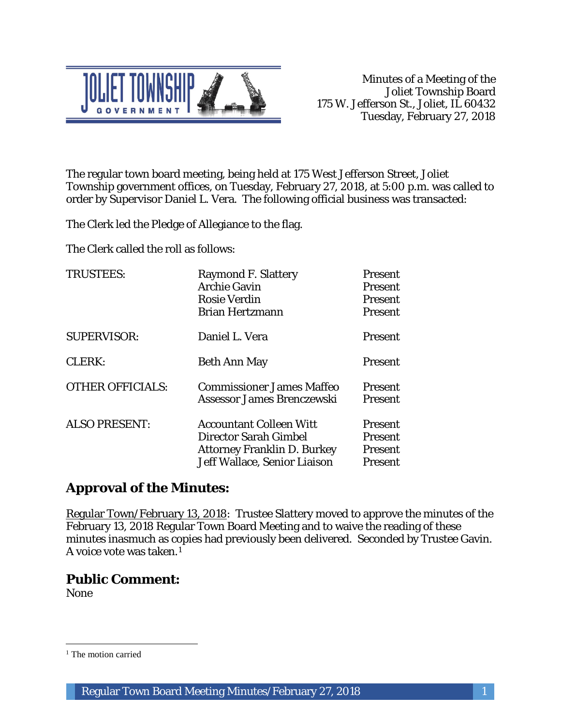

The regular town board meeting, being held at 175 West Jefferson Street, Joliet Township government offices, on Tuesday, February 27, 2018, at 5:00 p.m. was called to order by Supervisor Daniel L. Vera. The following official business was transacted:

The Clerk led the Pledge of Allegiance to the flag.

The Clerk called the roll as follows:

| <b>TRUSTEES:</b>        | <b>Raymond F. Slattery</b><br><b>Archie Gavin</b><br><b>Rosie Verdin</b><br><b>Brian Hertzmann</b>                                   | <b>Present</b><br><b>Present</b><br><b>Present</b><br><b>Present</b> |
|-------------------------|--------------------------------------------------------------------------------------------------------------------------------------|----------------------------------------------------------------------|
| <b>SUPERVISOR:</b>      | Daniel L. Vera                                                                                                                       | Present                                                              |
| <b>CLERK:</b>           | <b>Beth Ann May</b>                                                                                                                  | Present                                                              |
| <b>OTHER OFFICIALS:</b> | <b>Commissioner James Maffeo</b><br>Assessor James Brenczewski                                                                       | <b>Present</b><br><b>Present</b>                                     |
| <b>ALSO PRESENT:</b>    | <b>Accountant Colleen Witt</b><br><b>Director Sarah Gimbel</b><br><b>Attorney Franklin D. Burkey</b><br>Jeff Wallace, Senior Liaison | <b>Present</b><br><b>Present</b><br><b>Present</b><br>Present        |

# **Approval of the Minutes:**

Regular Town/February 13, 2018: Trustee Slattery moved to approve the minutes of the February 13, 2018 Regular Town Board Meeting and to waive the reading of these minutes inasmuch as copies had previously been delivered. Seconded by Trustee Gavin. A voice vote was taken.1

## **Public Comment:**

None

 $\overline{a}$ 

<sup>&</sup>lt;sup>1</sup> The motion carried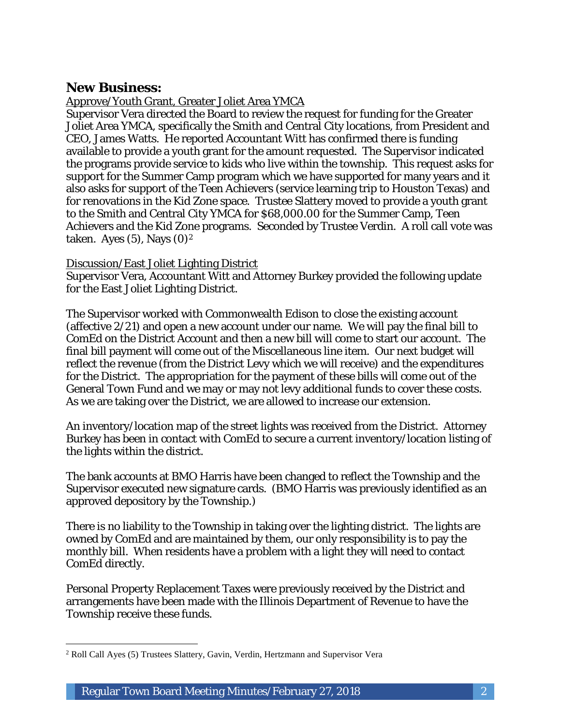### **New Business:**

Approve/Youth Grant, Greater Joliet Area YMCA

Supervisor Vera directed the Board to review the request for funding for the Greater Joliet Area YMCA, specifically the Smith and Central City locations, from President and CEO, James Watts. He reported Accountant Witt has confirmed there is funding available to provide a youth grant for the amount requested. The Supervisor indicated the programs provide service to kids who live within the township. This request asks for support for the Summer Camp program which we have supported for many years and it also asks for support of the Teen Achievers (service learning trip to Houston Texas) and for renovations in the Kid Zone space. Trustee Slattery moved to provide a youth grant to the Smith and Central City YMCA for \$68,000.00 for the Summer Camp, Teen Achievers and the Kid Zone programs. Seconded by Trustee Verdin. A roll call vote was taken. Ayes  $(5)$ , Nays  $(0)<sup>2</sup>$ 

#### Discussion/East Joliet Lighting District

Supervisor Vera, Accountant Witt and Attorney Burkey provided the following update for the East Joliet Lighting District.

The Supervisor worked with Commonwealth Edison to close the existing account (affective 2/21) and open a new account under our name. We will pay the final bill to ComEd on the District Account and then a new bill will come to start our account. The final bill payment will come out of the Miscellaneous line item. Our next budget will reflect the revenue (from the District Levy which we will receive) and the expenditures for the District. The appropriation for the payment of these bills will come out of the General Town Fund and we may or may not levy additional funds to cover these costs. As we are taking over the District, we are allowed to increase our extension.

An inventory/location map of the street lights was received from the District. Attorney Burkey has been in contact with ComEd to secure a current inventory/location listing of the lights within the district.

The bank accounts at BMO Harris have been changed to reflect the Township and the Supervisor executed new signature cards. (BMO Harris was previously identified as an approved depository by the Township.)

There is no liability to the Township in taking over the lighting district. The lights are owned by ComEd and are maintained by them, our only responsibility is to pay the monthly bill. When residents have a problem with a light they will need to contact ComEd directly.

Personal Property Replacement Taxes were previously received by the District and arrangements have been made with the Illinois Department of Revenue to have the Township receive these funds.

 $\overline{a}$ <sup>2</sup> Roll Call Ayes (5) Trustees Slattery, Gavin, Verdin, Hertzmann and Supervisor Vera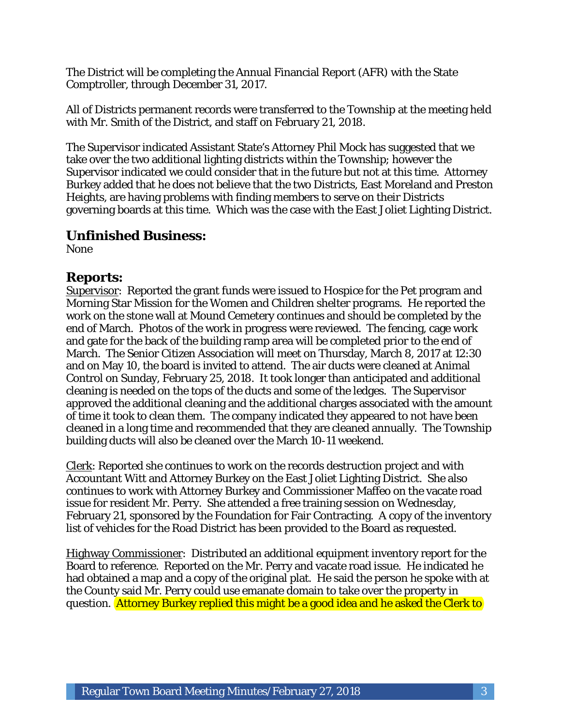The District will be completing the Annual Financial Report (AFR) with the State Comptroller, through December 31, 2017.

All of Districts permanent records were transferred to the Township at the meeting held with Mr. Smith of the District, and staff on February 21, 2018.

The Supervisor indicated Assistant State's Attorney Phil Mock has suggested that we take over the two additional lighting districts within the Township; however the Supervisor indicated we could consider that in the future but not at this time. Attorney Burkey added that he does not believe that the two Districts, East Moreland and Preston Heights, are having problems with finding members to serve on their Districts governing boards at this time. Which was the case with the East Joliet Lighting District.

#### **Unfinished Business:**

None

#### **Reports:**

Supervisor: Reported the grant funds were issued to Hospice for the Pet program and Morning Star Mission for the Women and Children shelter programs. He reported the work on the stone wall at Mound Cemetery continues and should be completed by the end of March. Photos of the work in progress were reviewed. The fencing, cage work and gate for the back of the building ramp area will be completed prior to the end of March. The Senior Citizen Association will meet on Thursday, March 8, 2017 at 12:30 and on May 10, the board is invited to attend. The air ducts were cleaned at Animal Control on Sunday, February 25, 2018. It took longer than anticipated and additional cleaning is needed on the tops of the ducts and some of the ledges. The Supervisor approved the additional cleaning and the additional charges associated with the amount of time it took to clean them. The company indicated they appeared to not have been cleaned in a long time and recommended that they are cleaned annually. The Township building ducts will also be cleaned over the March 10-11 weekend.

Clerk: Reported she continues to work on the records destruction project and with Accountant Witt and Attorney Burkey on the East Joliet Lighting District. She also continues to work with Attorney Burkey and Commissioner Maffeo on the vacate road issue for resident Mr. Perry. She attended a free training session on Wednesday, February 21, sponsored by the Foundation for Fair Contracting. A copy of the inventory list of vehicles for the Road District has been provided to the Board as requested.

Highway Commissioner: Distributed an additional equipment inventory report for the Board to reference. Reported on the Mr. Perry and vacate road issue. He indicated he had obtained a map and a copy of the original plat. He said the person he spoke with at the County said Mr. Perry could use emanate domain to take over the property in question. Attorney Burkey replied this might be a good idea and he asked the Clerk to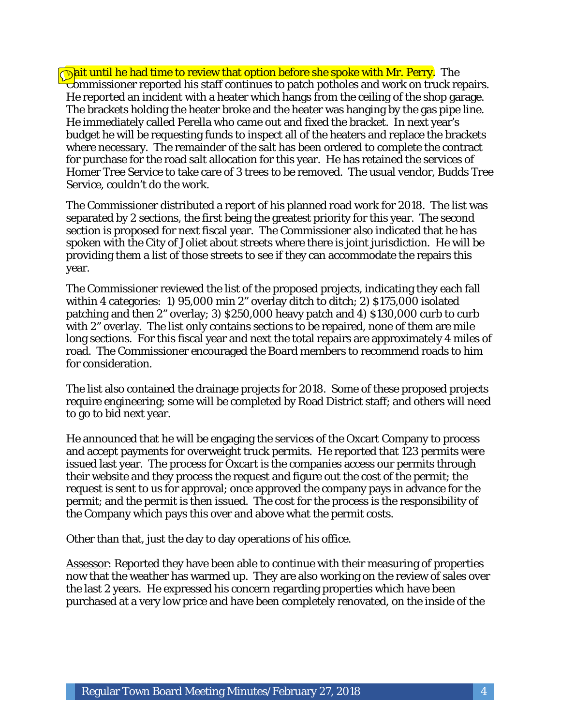**Wait until he had time to review that option before she spoke with Mr. Perry.** The Commissioner reported his staff continues to patch potholes and work on truck repairs. He reported an incident with a heater which hangs from the ceiling of the shop garage. The brackets holding the heater broke and the heater was hanging by the gas pipe line. He immediately called Perella who came out and fixed the bracket. In next year's budget he will be requesting funds to inspect all of the heaters and replace the brackets where necessary. The remainder of the salt has been ordered to complete the contract for purchase for the road salt allocation for this year. He has retained the services of Homer Tree Service to take care of 3 trees to be removed. The usual vendor, Budds Tree Service, couldn't do the work.

The Commissioner distributed a report of his planned road work for 2018. The list was separated by 2 sections, the first being the greatest priority for this year. The second section is proposed for next fiscal year. The Commissioner also indicated that he has spoken with the City of Joliet about streets where there is joint jurisdiction. He will be providing them a list of those streets to see if they can accommodate the repairs this year.

The Commissioner reviewed the list of the proposed projects, indicating they each fall within 4 categories: 1) 95,000 min 2" overlay ditch to ditch; 2) \$175,000 isolated patching and then 2" overlay; 3) \$250,000 heavy patch and 4) \$130,000 curb to curb with 2" overlay. The list only contains sections to be repaired, none of them are mile long sections. For this fiscal year and next the total repairs are approximately 4 miles of road. The Commissioner encouraged the Board members to recommend roads to him for consideration.

The list also contained the drainage projects for 2018. Some of these proposed projects require engineering; some will be completed by Road District staff; and others will need to go to bid next year.

He announced that he will be engaging the services of the Oxcart Company to process and accept payments for overweight truck permits. He reported that 123 permits were issued last year. The process for Oxcart is the companies access our permits through their website and they process the request and figure out the cost of the permit; the request is sent to us for approval; once approved the company pays in advance for the permit; and the permit is then issued. The cost for the process is the responsibility of the Company which pays this over and above what the permit costs.

Other than that, just the day to day operations of his office.

Assessor: Reported they have been able to continue with their measuring of properties now that the weather has warmed up. They are also working on the review of sales over the last 2 years. He expressed his concern regarding properties which have been purchased at a very low price and have been completely renovated, on the inside of the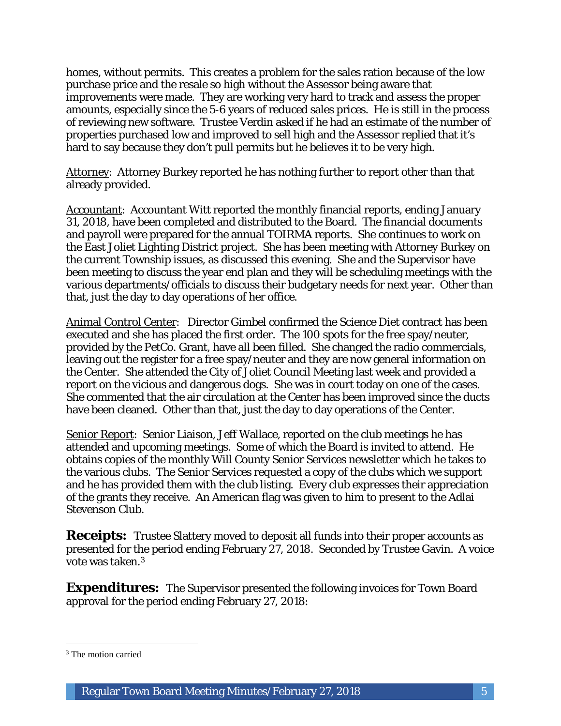homes, without permits. This creates a problem for the sales ration because of the low purchase price and the resale so high without the Assessor being aware that improvements were made. They are working very hard to track and assess the proper amounts, especially since the 5-6 years of reduced sales prices. He is still in the process of reviewing new software. Trustee Verdin asked if he had an estimate of the number of properties purchased low and improved to sell high and the Assessor replied that it's hard to say because they don't pull permits but he believes it to be very high.

Attorney: Attorney Burkey reported he has nothing further to report other than that already provided.

Accountant: Accountant Witt reported the monthly financial reports, ending January 31, 2018, have been completed and distributed to the Board. The financial documents and payroll were prepared for the annual TOIRMA reports. She continues to work on the East Joliet Lighting District project. She has been meeting with Attorney Burkey on the current Township issues, as discussed this evening. She and the Supervisor have been meeting to discuss the year end plan and they will be scheduling meetings with the various departments/officials to discuss their budgetary needs for next year. Other than that, just the day to day operations of her office.

Animal Control Center: Director Gimbel confirmed the Science Diet contract has been executed and she has placed the first order. The 100 spots for the free spay/neuter, provided by the PetCo. Grant, have all been filled. She changed the radio commercials, leaving out the register for a free spay/neuter and they are now general information on the Center. She attended the City of Joliet Council Meeting last week and provided a report on the vicious and dangerous dogs. She was in court today on one of the cases. She commented that the air circulation at the Center has been improved since the ducts have been cleaned. Other than that, just the day to day operations of the Center.

Senior Report: Senior Liaison, Jeff Wallace, reported on the club meetings he has attended and upcoming meetings. Some of which the Board is invited to attend. He obtains copies of the monthly Will County Senior Services newsletter which he takes to the various clubs. The Senior Services requested a copy of the clubs which we support and he has provided them with the club listing. Every club expresses their appreciation of the grants they receive. An American flag was given to him to present to the Adlai Stevenson Club.

**Receipts:** Trustee Slattery moved to deposit all funds into their proper accounts as presented for the period ending February 27, 2018. Seconded by Trustee Gavin. A voice vote was taken.3

**Expenditures:** The Supervisor presented the following invoices for Town Board approval for the period ending February 27, 2018:

 $\overline{a}$ 

<sup>&</sup>lt;sup>3</sup> The motion carried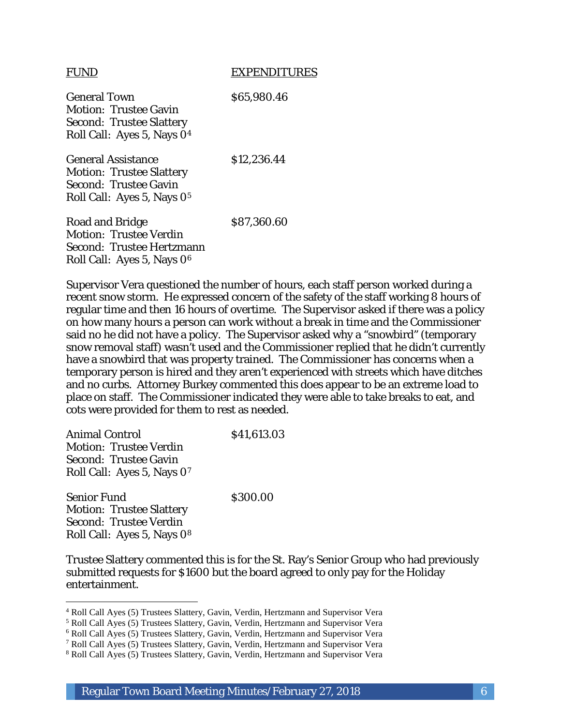#### FUND EXPENDITURES

General Town \$65,980.46 Motion: Trustee Gavin Second: Trustee Slattery Roll Call: Ayes 5, Nays 04

General Assistance \$12,236.44 Motion: Trustee Slattery Second: Trustee Gavin Roll Call: Ayes 5, Nays 05

Road and Bridge \$87,360.60 Motion: Trustee Verdin Second: Trustee Hertzmann Roll Call: Ayes 5, Nays 06

Supervisor Vera questioned the number of hours, each staff person worked during a recent snow storm. He expressed concern of the safety of the staff working 8 hours of regular time and then 16 hours of overtime. The Supervisor asked if there was a policy on how many hours a person can work without a break in time and the Commissioner said no he did not have a policy. The Supervisor asked why a "snowbird" (temporary snow removal staff) wasn't used and the Commissioner replied that he didn't currently have a snowbird that was property trained. The Commissioner has concerns when a temporary person is hired and they aren't experienced with streets which have ditches and no curbs. Attorney Burkey commented this does appear to be an extreme load to place on staff. The Commissioner indicated they were able to take breaks to eat, and cots were provided for them to rest as needed.

| <b>Animal Control</b>                                         | \$41,613.03 |  |
|---------------------------------------------------------------|-------------|--|
| <b>Motion: Trustee Verdin</b><br><b>Second: Trustee Gavin</b> |             |  |
| Roll Call: Ayes 5, Nays 07<br><b>Senior Fund</b>              | \$300.00    |  |
| Motion: Trustee Slattery                                      |             |  |

Motion: Trustee Slattery Second: Trustee Verdin Roll Call: Ayes 5, Nays 08

I

Trustee Slattery commented this is for the St. Ray's Senior Group who had previously submitted requests for \$1600 but the board agreed to only pay for the Holiday entertainment.

<sup>4</sup> Roll Call Ayes (5) Trustees Slattery, Gavin, Verdin, Hertzmann and Supervisor Vera

<sup>5</sup> Roll Call Ayes (5) Trustees Slattery, Gavin, Verdin, Hertzmann and Supervisor Vera

<sup>6</sup> Roll Call Ayes (5) Trustees Slattery, Gavin, Verdin, Hertzmann and Supervisor Vera

<sup>7</sup> Roll Call Ayes (5) Trustees Slattery, Gavin, Verdin, Hertzmann and Supervisor Vera

<sup>8</sup> Roll Call Ayes (5) Trustees Slattery, Gavin, Verdin, Hertzmann and Supervisor Vera